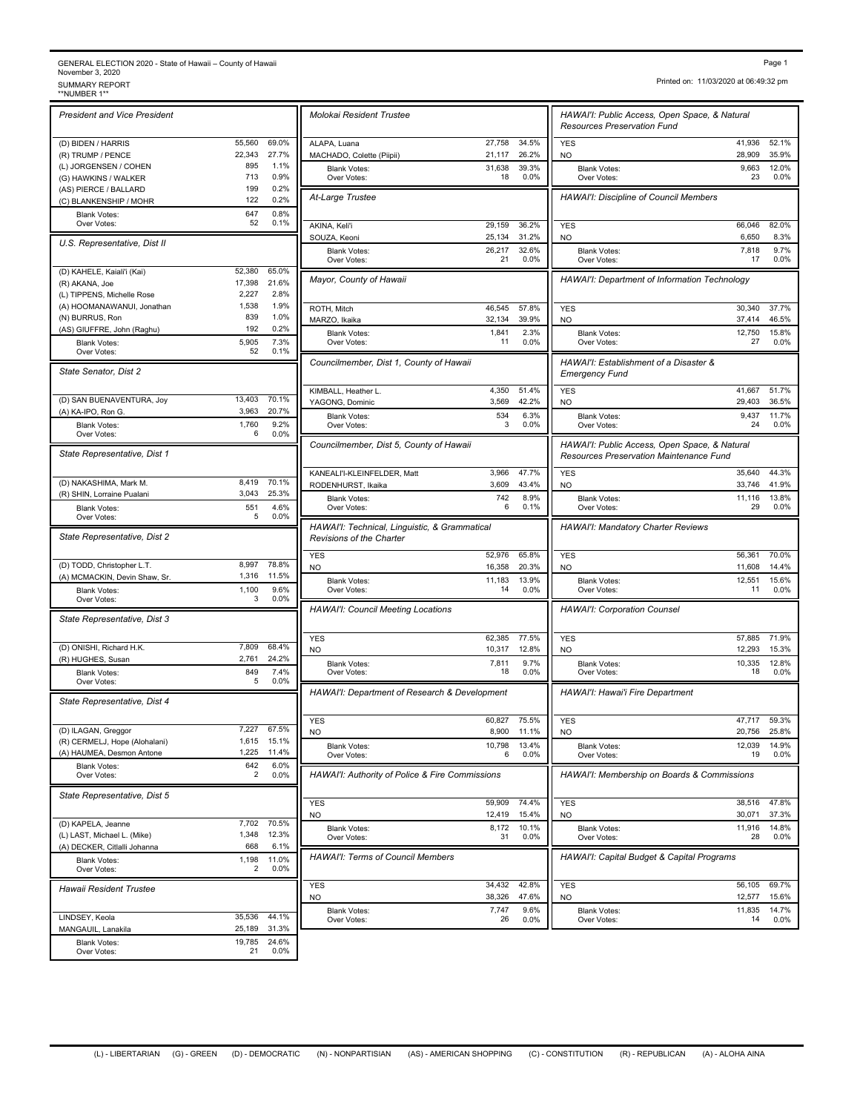## GENERAL ELECTION 2020 - State of Hawaii – County of Hawaii November 3, 2020<br>SUMMARY REPORT<br>\*\*NUMBER 1\*\* Fage 1<br>November 3, 2020<br>SUMMARY REPORT Printed on: 11/03/2020 at 06:49:32 pm<br>\*\*NUMBER 1\*\* FORT<br>\*\*NUMBER 1\*\* Summary Report of the Summary Report of the Summary Report of the Summary Report of the Summary R

*President and Vice President* (D) BIDEN / HARRIS 55,560 69.0% (R) TRUMP / PENCE 22,343 27.7% (L) JORGENSEN / COHEN 895 1.1%<br>
(G) HAWKINS / WALKER 713 0.9% (G) HAWKINS / WALKER 713 0.9%<br>(AS) PIERCE / BALLARD 199 0.2% (AS) PIERCE / BALLARD 199 0.2%<br>
(C) BLANKENSHIP / MOHR 122 0.2% (C) BLANKENSHIP / MOHR Blank Votes: 647 Over Votes:  $52 \t 0.1\%$   $\overline{A K N A K A |i'i}$  $0.8\%$ <br> $0.1\%$ *U.S. Representative, Dist II* (D) KAHELE, Kaiali'i (Kai) 52,380 65.0% (R) AKANA, Joe 17,398 21.6%<br>
(I) TIPPENS Michelle Rose 2.227 2.8% (L) TIPPENS, Michelle Rose (A) HOOMANAWANUI, Jonathan 1,538 1.9% (N) BURRUS, Ron 839 1.0% (AS) GIUFFRE, John (Raghu) 192 0.2% Blank Votes: 5,905 7.3%<br>Civer Votes: 52 0.1% Over Votes: 7.3% *State Senator, Dist 2* (D) SAN BUENAVENTURA, Joy 13,403 70.1%<br>
(A) KA-IPO, Ron G. 20.7% (A) KA-IPO, Ron G. Blank Votes: 1,760 Over Votes: 6 0.0% *State Representative, Dist 1* (D) NAKASHIMA, Mark M. 8,419 70.1%<br>
(R) SHIN, Lorraine Pualani 3,043 25.3%  $(R)$  SHIN, Lorraine Pualani Blank Votes: 551 4.6%<br>Over Votes: 5 0.0% Over Votes: 5 0.0% 4.6% *State Representative, Dist 2* (D) TODD, Christopher L.T. 8,997 78.8% (A) MCMACKIN, Devin Shaw, Sr. 1,316 11.5% Blank Votes: 1,100<br>Over Votes: 3 Over Votes: 3 0.0%  $\frac{9.6\%}{0.0\%}$ *State Representative, Dist 3* (D) ONISHI, Richard H.K. 7,809 68.4% (R) HUGHES, Susan 2,761 24.2% Blank Votes: 849 Over Votes: 5 0.0% 7.4% *State Representative, Dist 4* (D) ILAGAN, Greggor 7,227 67.5%<br>
(R) CERMELJ, Hope (Alohalani) 1,615 15.1% (R) CERMELJ, Hope (Alohalani) 1,615 15.1%<br>(A) HAUMEA, Desmon Antone 1,225 11.4% (A) HAUMEA, Desmon Antone Blank Votes: 642 Over Votes: 2 0.0%  $6.0\%$ <br> $0.0\%$ *State Representative, Dist 5* (D) KAPELA, Jeanne 7,702 70.5%<br>
(L) LAST, Michael L. (Mike) 1,348 12.3% (L) LAST, Michael L. (Mike) 1,348<br>(A) DECKER. Citlalli Johanna 1,348 (A) DECKER, Citlalli Johanna 668 6.1% Blank Votes: 1,198 11.0%<br>Over Votes: 2 0.0% Over Votes: 2 0.0% 11.0% *Hawaii Resident Trustee* LINDSEY, Keola 35,536 44.1% MANGAUIL, Lanakila 25,189 31.3%

Blank Votes: 19,785 24.6%<br>Over Votes: 21 0.0%

Over Votes: 21 0.0%

24.6%

| Molokai Resident Trustee                                                                                                                                                                                    |                  |                | HAWAI'I: Public Access, Open Space, & Natural<br><b>Resources Preservation Fund</b>      |                        |                |
|-------------------------------------------------------------------------------------------------------------------------------------------------------------------------------------------------------------|------------------|----------------|------------------------------------------------------------------------------------------|------------------------|----------------|
| ALAPA, Luana                                                                                                                                                                                                | 27,758           | 34.5%          | <b>YES</b>                                                                               | 41,936                 | 52.1%          |
| MACHADO, Colette (Piipii)<br><b>Blank Votes:</b>                                                                                                                                                            | 21,117<br>31,638 | 26.2%<br>39.3% | NO<br><b>Blank Votes:</b>                                                                | 28,909<br>9,663        | 35.9%<br>12.0% |
| Over Votes:                                                                                                                                                                                                 | 18               | 0.0%           | Over Votes:                                                                              | 23                     | 0.0%           |
| At-Large Trustee                                                                                                                                                                                            |                  |                | <b>HAWAI'I: Discipline of Council Members</b>                                            |                        |                |
| AKINA, Keli'i<br>SOUZA, Keoni                                                                                                                                                                               | 29,159<br>25,134 | 36.2%<br>31.2% | <b>YES</b><br>NO                                                                         | 66,046<br>6,650        | 82.0%<br>8.3%  |
| <b>Blank Votes:</b><br>Over Votes:                                                                                                                                                                          | 26,217<br>21     | 32.6%<br>0.0%  | <b>Blank Votes:</b><br>Over Votes:                                                       | 7,818<br>17            | 9.7%<br>0.0%   |
| Mayor, County of Hawaii                                                                                                                                                                                     |                  |                | HAWAI'I: Department of Information Technology                                            |                        |                |
| ROTH, Mitch                                                                                                                                                                                                 | 46,545           | 57.8%          | <b>YES</b>                                                                               | 30,340                 | 37.7%          |
| MARZO, Ikaika                                                                                                                                                                                               | 32,134           | 39.9%          | NO                                                                                       | 37,414                 | 46.5%          |
| <b>Blank Votes:</b><br>Over Votes:                                                                                                                                                                          | 1,841<br>11      | 2.3%<br>0.0%   | <b>Blank Votes:</b><br>Over Votes:                                                       | 12,750<br>27           | 15.8%<br>0.0%  |
| Councilmember, Dist 1, County of Hawaii                                                                                                                                                                     |                  |                | HAWAI'I: Establishment of a Disaster &<br><b>Emergency Fund</b>                          |                        |                |
| KIMBALL, Heather L.<br>YAGONG, Dominic                                                                                                                                                                      | 4,350<br>3,569   | 51.4%<br>42.2% | <b>YES</b><br><b>NO</b>                                                                  | 41,667<br>29,403       | 51.7%<br>36.5% |
| <b>Blank Votes:</b>                                                                                                                                                                                         | 534              | 6.3%           | <b>Blank Votes:</b>                                                                      | 9,437                  | 11.7%          |
| Over Votes:                                                                                                                                                                                                 | 3                | 0.0%           | Over Votes:                                                                              | 24                     | 0.0%           |
| Councilmember, Dist 5, County of Hawaii                                                                                                                                                                     |                  |                | HAWAI'I: Public Access, Open Space, & Natural<br>Resources Preservation Maintenance Fund |                        |                |
| KANEALI'I-KLEINFELDER, Matt<br>RODENHURST, Ikaika                                                                                                                                                           | 3,966<br>3,609   | 47.7%<br>43.4% | <b>YES</b><br><b>NO</b>                                                                  | 35,640<br>33,746       | 44.3%<br>41.9% |
| <b>Blank Votes:</b><br>Over Votes:                                                                                                                                                                          | 742<br>6         | 8.9%<br>0.1%   | <b>Blank Votes:</b><br>Over Votes:                                                       | 11,116<br>29           | 13.8%<br>0.0%  |
| HAWAI'I: Technical, Linguistic, & Grammatical<br>Revisions of the Charter                                                                                                                                   |                  |                | HAWAI'I: Mandatory Charter Reviews                                                       |                        |                |
| <b>YES</b>                                                                                                                                                                                                  | 52,976           | 65.8%          | <b>YES</b>                                                                               | 56,361                 | 70.0%          |
| N <sub>O</sub>                                                                                                                                                                                              | 16,358           | 20.3%          | NO                                                                                       | 11,608                 | 14.4%          |
| <b>Blank Votes:</b><br>Over Votes:                                                                                                                                                                          | 11,183<br>14     | 13.9%<br>0.0%  | <b>Blank Votes:</b><br>Over Votes:                                                       | 12,551<br>11           | 15.6%<br>0.0%  |
| <b>HAWAI'I: Council Meeting Locations</b>                                                                                                                                                                   |                  |                | <b>HAWAI'I: Corporation Counsel</b>                                                      |                        |                |
| <b>YES</b>                                                                                                                                                                                                  | 62,385           | 77.5%          | <b>YES</b>                                                                               | 57,885                 | 71.9%          |
| <b>NO</b>                                                                                                                                                                                                   |                  |                | <b>NO</b>                                                                                | 12,293                 | 15.3%          |
|                                                                                                                                                                                                             | 10,317<br>7,811  | 12.8%<br>9.7%  |                                                                                          | 10,335                 | 12.8%          |
| <b>Blank Votes:</b><br>Over Votes:                                                                                                                                                                          | 18               | 0.0%           | <b>Blank Votes:</b><br>Over Votes:                                                       | 18                     | 0.0%           |
|                                                                                                                                                                                                             |                  |                | HAWAI'I: Hawai'i Fire Department                                                         |                        |                |
|                                                                                                                                                                                                             | 60,827<br>8,900  | 75.5%<br>11.1% | <b>YES</b>                                                                               | 47,717                 | 59.3%<br>25.8% |
| <b>Blank Votes:</b><br>Over Votes:                                                                                                                                                                          | 10,798<br>6      | 13.4%<br>0.0%  | NO<br><b>Blank Votes:</b><br>Over Votes:                                                 | 20,756<br>12,039<br>19 | 14.9%<br>0.0%  |
|                                                                                                                                                                                                             |                  |                | HAWAI'I: Membership on Boards & Commissions                                              |                        |                |
|                                                                                                                                                                                                             | 59,909           | 74.4%          | <b>YES</b>                                                                               | 38,516                 | 47.8%          |
|                                                                                                                                                                                                             | 12,419           | 15.4%          | NO                                                                                       | 30,071                 | 37.3%          |
| <b>Blank Votes:</b><br>Over Votes:                                                                                                                                                                          | 8,172<br>31      | 10.1%<br>0.0%  | <b>Blank Votes:</b><br>Over Votes:                                                       | 11,916<br>28           | 14.8%<br>0.0%  |
|                                                                                                                                                                                                             |                  |                | HAWAI'I: Capital Budget & Capital Programs                                               |                        |                |
| HAWAI'I: Department of Research & Development<br><b>YES</b><br>NO.<br>HAWAI'I: Authority of Police & Fire Commissions<br><b>YES</b><br>NO.<br><b>HAWAI'I: Terms of Council Members</b><br><b>YES</b><br>NO. | 34,432<br>38,326 | 42.8%<br>47.6% | <b>YES</b><br>NO                                                                         | 56,105<br>12,577       | 69.7%<br>15.6% |
| <b>Blank Votes:</b>                                                                                                                                                                                         | 7,747            | 9.6%           | <b>Blank Votes:</b>                                                                      | 11,835                 | 14.7%          |
| Over Votes:                                                                                                                                                                                                 | 26               | 0.0%           | Over Votes:                                                                              | 14                     | 0.0%           |

Printed on: 11/03/2020 at 06:49:32 pm